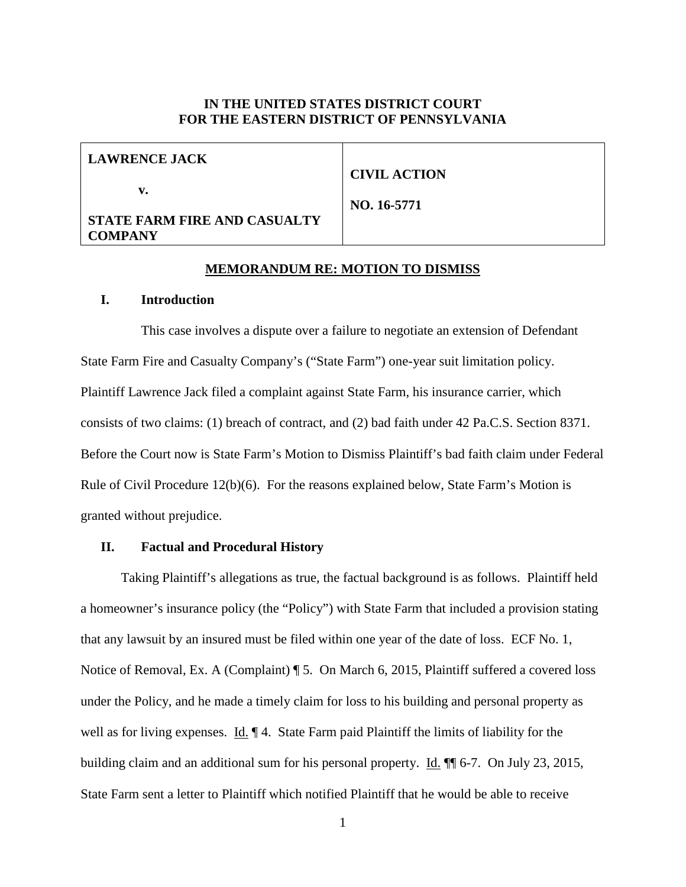### **IN THE UNITED STATES DISTRICT COURT FOR THE EASTERN DISTRICT OF PENNSYLVANIA**

| <b>LAWRENCE JACK</b>                |                     |
|-------------------------------------|---------------------|
|                                     | <b>CIVIL ACTION</b> |
| v.                                  |                     |
|                                     | NO. 16-5771         |
| <b>STATE FARM FIRE AND CASUALTY</b> |                     |
| <b>COMPANY</b>                      |                     |

#### **MEMORANDUM RE: MOTION TO DISMISS**

#### **I. Introduction**

This case involves a dispute over a failure to negotiate an extension of Defendant State Farm Fire and Casualty Company's ("State Farm") one-year suit limitation policy. Plaintiff Lawrence Jack filed a complaint against State Farm, his insurance carrier, which consists of two claims: (1) breach of contract, and (2) bad faith under 42 Pa.C.S. Section 8371. Before the Court now is State Farm's Motion to Dismiss Plaintiff's bad faith claim under Federal Rule of Civil Procedure 12(b)(6). For the reasons explained below, State Farm's Motion is granted without prejudice.

#### **II. Factual and Procedural History**

Taking Plaintiff's allegations as true, the factual background is as follows. Plaintiff held a homeowner's insurance policy (the "Policy") with State Farm that included a provision stating that any lawsuit by an insured must be filed within one year of the date of loss. ECF No. 1, Notice of Removal, Ex. A (Complaint) ¶ 5. On March 6, 2015, Plaintiff suffered a covered loss under the Policy, and he made a timely claim for loss to his building and personal property as well as for living expenses. Id.  $\parallel$  4. State Farm paid Plaintiff the limits of liability for the building claim and an additional sum for his personal property. Id. ¶ 6-7. On July 23, 2015, State Farm sent a letter to Plaintiff which notified Plaintiff that he would be able to receive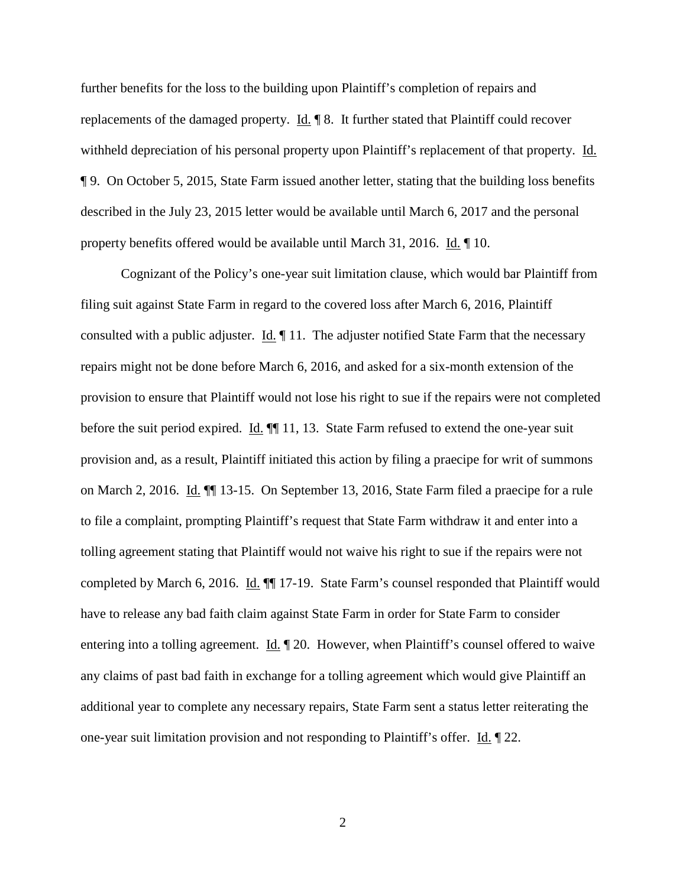further benefits for the loss to the building upon Plaintiff's completion of repairs and replacements of the damaged property. Id. ¶ 8. It further stated that Plaintiff could recover withheld depreciation of his personal property upon Plaintiff's replacement of that property. Id. ¶ 9. On October 5, 2015, State Farm issued another letter, stating that the building loss benefits described in the July 23, 2015 letter would be available until March 6, 2017 and the personal property benefits offered would be available until March 31, 2016. Id. ¶ 10.

Cognizant of the Policy's one-year suit limitation clause, which would bar Plaintiff from filing suit against State Farm in regard to the covered loss after March 6, 2016, Plaintiff consulted with a public adjuster. Id. ¶ 11. The adjuster notified State Farm that the necessary repairs might not be done before March 6, 2016, and asked for a six-month extension of the provision to ensure that Plaintiff would not lose his right to sue if the repairs were not completed before the suit period expired. Id.  $\P$  11, 13. State Farm refused to extend the one-year suit provision and, as a result, Plaintiff initiated this action by filing a praecipe for writ of summons on March 2, 2016. Id. ¶¶ 13-15. On September 13, 2016, State Farm filed a praecipe for a rule to file a complaint, prompting Plaintiff's request that State Farm withdraw it and enter into a tolling agreement stating that Plaintiff would not waive his right to sue if the repairs were not completed by March 6, 2016. Id.  $\P$  17-19. State Farm's counsel responded that Plaintiff would have to release any bad faith claim against State Farm in order for State Farm to consider entering into a tolling agreement.  $\underline{Id}$ .  $\P$  20. However, when Plaintiff's counsel offered to waive any claims of past bad faith in exchange for a tolling agreement which would give Plaintiff an additional year to complete any necessary repairs, State Farm sent a status letter reiterating the one-year suit limitation provision and not responding to Plaintiff's offer. Id. ¶ 22.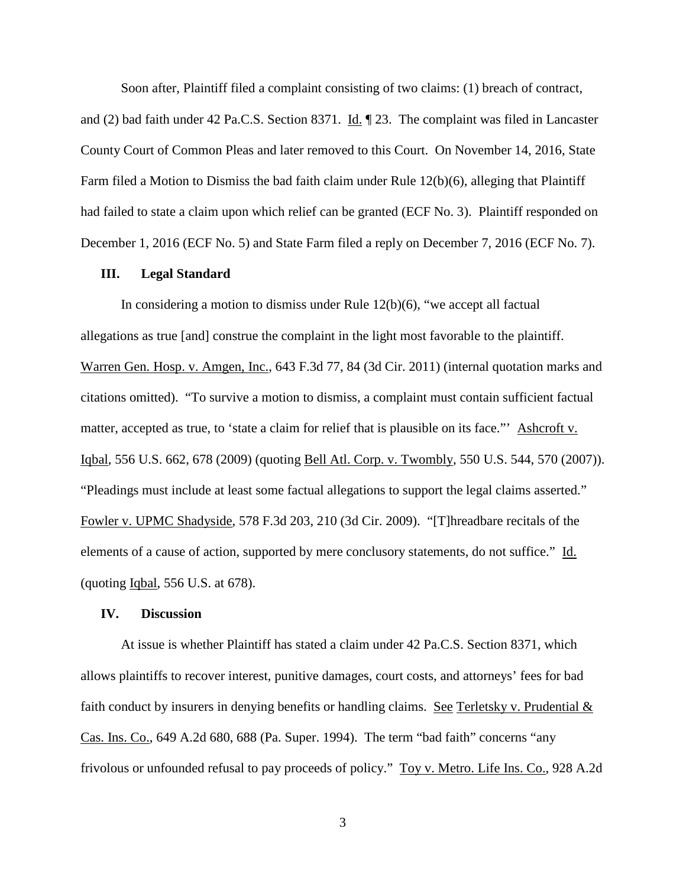Soon after, Plaintiff filed a complaint consisting of two claims: (1) breach of contract,

and (2) bad faith under 42 Pa.C.S. Section 8371. Id. ¶ 23. The complaint was filed in Lancaster County Court of Common Pleas and later removed to this Court. On November 14, 2016, State Farm filed a Motion to Dismiss the bad faith claim under Rule 12(b)(6), alleging that Plaintiff had failed to state a claim upon which relief can be granted (ECF No. 3). Plaintiff responded on December 1, 2016 (ECF No. 5) and State Farm filed a reply on December 7, 2016 (ECF No. 7).

#### **III. Legal Standard**

In considering a motion to dismiss under Rule  $12(b)(6)$ , "we accept all factual allegations as true [and] construe the complaint in the light most favorable to the plaintiff. Warren Gen. Hosp. v. Amgen, Inc., 643 F.3d 77, 84 (3d Cir. 2011) (internal quotation marks and citations omitted). "To survive a motion to dismiss, a complaint must contain sufficient factual matter, accepted as true, to 'state a claim for relief that is plausible on its face."' Ashcroft v. Iqbal, 556 U.S. 662, 678 (2009) (quoting Bell Atl. Corp. v. Twombly, 550 U.S. 544, 570 (2007)). "Pleadings must include at least some factual allegations to support the legal claims asserted." Fowler v. UPMC Shadyside, 578 F.3d 203, 210 (3d Cir. 2009). "[T]hreadbare recitals of the elements of a cause of action, supported by mere conclusory statements, do not suffice." Id. (quoting Iqbal, 556 U.S. at 678).

#### **IV. Discussion**

At issue is whether Plaintiff has stated a claim under 42 Pa.C.S. Section 8371, which allows plaintiffs to recover interest, punitive damages, court costs, and attorneys' fees for bad faith conduct by insurers in denying benefits or handling claims. See Terletsky v. Prudential & Cas. Ins. Co., 649 A.2d 680, 688 (Pa. Super. 1994). The term "bad faith" concerns "any frivolous or unfounded refusal to pay proceeds of policy." Toy v. Metro. Life Ins. Co., 928 A.2d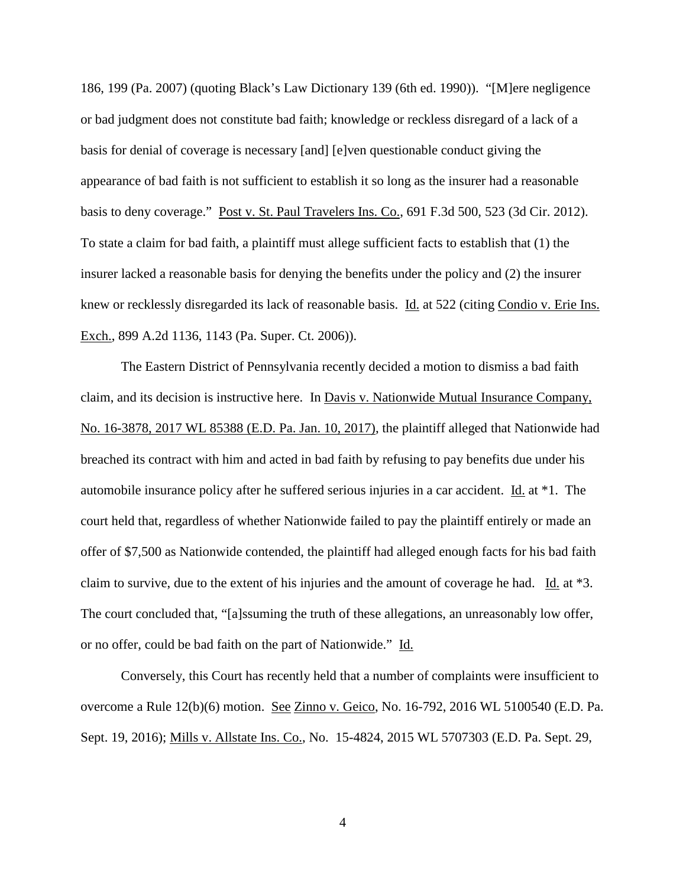186, 199 (Pa. 2007) (quoting Black's Law Dictionary 139 (6th ed. 1990)). "[M]ere negligence or bad judgment does not constitute bad faith; knowledge or reckless disregard of a lack of a basis for denial of coverage is necessary [and] [e]ven questionable conduct giving the appearance of bad faith is not sufficient to establish it so long as the insurer had a reasonable basis to deny coverage." Post v. St. Paul Travelers Ins. Co., 691 F.3d 500, 523 (3d Cir. 2012). To state a claim for bad faith, a plaintiff must allege sufficient facts to establish that (1) the insurer lacked a reasonable basis for denying the benefits under the policy and (2) the insurer knew or recklessly disregarded its lack of reasonable basis. Id. at 522 (citing Condio v. Erie Ins. Exch., 899 A.2d 1136, 1143 (Pa. Super. Ct. 2006)).

The Eastern District of Pennsylvania recently decided a motion to dismiss a bad faith claim, and its decision is instructive here. In Davis v. Nationwide Mutual Insurance Company, No. 16-3878, 2017 WL 85388 (E.D. Pa. Jan. 10, 2017), the plaintiff alleged that Nationwide had breached its contract with him and acted in bad faith by refusing to pay benefits due under his automobile insurance policy after he suffered serious injuries in a car accident. Id. at \*1. The court held that, regardless of whether Nationwide failed to pay the plaintiff entirely or made an offer of \$7,500 as Nationwide contended, the plaintiff had alleged enough facts for his bad faith claim to survive, due to the extent of his injuries and the amount of coverage he had. Id. at \*3. The court concluded that, "[a]ssuming the truth of these allegations, an unreasonably low offer, or no offer, could be bad faith on the part of Nationwide." Id.

Conversely, this Court has recently held that a number of complaints were insufficient to overcome a Rule 12(b)(6) motion. See Zinno v. Geico, No. 16-792, 2016 WL 5100540 (E.D. Pa. Sept. 19, 2016); Mills v. Allstate Ins. Co., No. 15-4824, 2015 WL 5707303 (E.D. Pa. Sept. 29,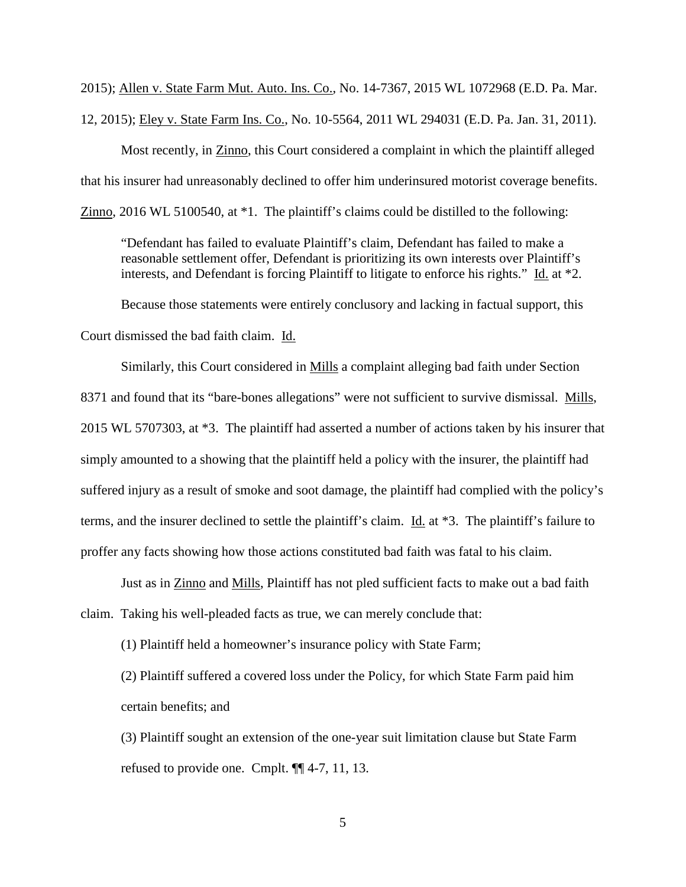2015); Allen v. State Farm Mut. Auto. Ins. Co., No. 14-7367, 2015 WL 1072968 (E.D. Pa. Mar. 12, 2015); Eley v. State Farm Ins. Co., No. 10-5564, 2011 WL 294031 (E.D. Pa. Jan. 31, 2011).

Most recently, in Zinno, this Court considered a complaint in which the plaintiff alleged that his insurer had unreasonably declined to offer him underinsured motorist coverage benefits. Zinno, 2016 WL 5100540, at \*1. The plaintiff's claims could be distilled to the following:

"Defendant has failed to evaluate Plaintiff's claim, Defendant has failed to make a reasonable settlement offer, Defendant is prioritizing its own interests over Plaintiff's interests, and Defendant is forcing Plaintiff to litigate to enforce his rights." Id. at \*2.

Because those statements were entirely conclusory and lacking in factual support, this Court dismissed the bad faith claim. Id.

Similarly, this Court considered in Mills a complaint alleging bad faith under Section 8371 and found that its "bare-bones allegations" were not sufficient to survive dismissal. Mills, 2015 WL 5707303, at \*3. The plaintiff had asserted a number of actions taken by his insurer that simply amounted to a showing that the plaintiff held a policy with the insurer, the plaintiff had suffered injury as a result of smoke and soot damage, the plaintiff had complied with the policy's terms, and the insurer declined to settle the plaintiff's claim. Id. at \*3. The plaintiff's failure to proffer any facts showing how those actions constituted bad faith was fatal to his claim.

Just as in Zinno and Mills, Plaintiff has not pled sufficient facts to make out a bad faith claim. Taking his well-pleaded facts as true, we can merely conclude that:

(1) Plaintiff held a homeowner's insurance policy with State Farm;

(2) Plaintiff suffered a covered loss under the Policy, for which State Farm paid him certain benefits; and

(3) Plaintiff sought an extension of the one-year suit limitation clause but State Farm refused to provide one. Cmplt. ¶¶ 4-7, 11, 13.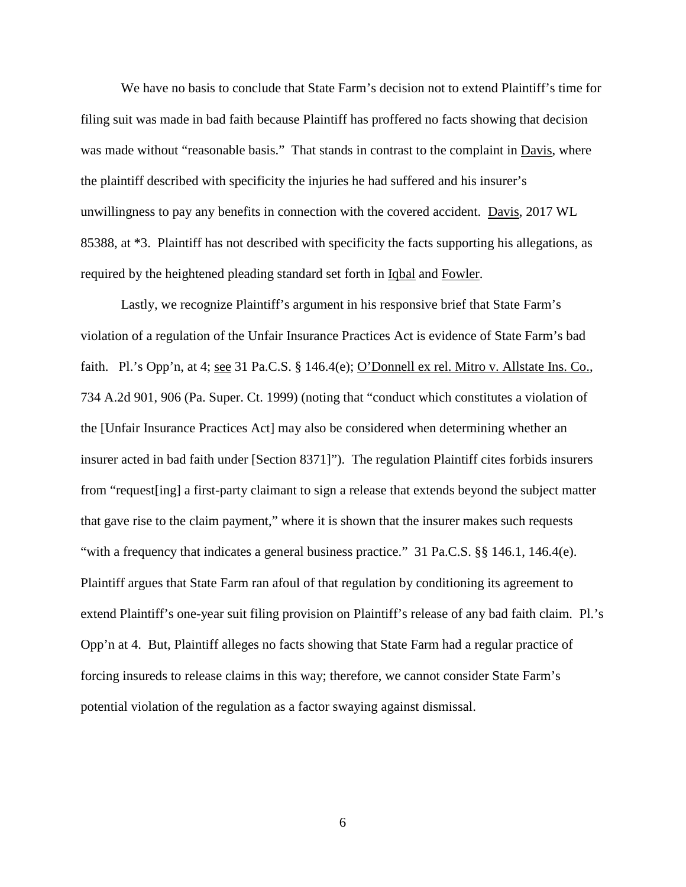We have no basis to conclude that State Farm's decision not to extend Plaintiff's time for filing suit was made in bad faith because Plaintiff has proffered no facts showing that decision was made without "reasonable basis." That stands in contrast to the complaint in Davis, where the plaintiff described with specificity the injuries he had suffered and his insurer's unwillingness to pay any benefits in connection with the covered accident. Davis, 2017 WL 85388, at \*3. Plaintiff has not described with specificity the facts supporting his allegations, as required by the heightened pleading standard set forth in Iqbal and Fowler.

Lastly, we recognize Plaintiff's argument in his responsive brief that State Farm's violation of a regulation of the Unfair Insurance Practices Act is evidence of State Farm's bad faith. Pl.'s Opp'n, at 4; <u>see</u> 31 Pa.C.S. § 146.4(e); O'Donnell ex rel. Mitro v. Allstate Ins. Co., 734 A.2d 901, 906 (Pa. Super. Ct. 1999) (noting that "conduct which constitutes a violation of the [Unfair Insurance Practices Act] may also be considered when determining whether an insurer acted in bad faith under [Section 8371]"). The regulation Plaintiff cites forbids insurers from "request[ing] a first-party claimant to sign a release that extends beyond the subject matter that gave rise to the claim payment," where it is shown that the insurer makes such requests "with a frequency that indicates a general business practice." 31 Pa.C.S. §§ 146.1, 146.4(e). Plaintiff argues that State Farm ran afoul of that regulation by conditioning its agreement to extend Plaintiff's one-year suit filing provision on Plaintiff's release of any bad faith claim. Pl.'s Opp'n at 4. But, Plaintiff alleges no facts showing that State Farm had a regular practice of forcing insureds to release claims in this way; therefore, we cannot consider State Farm's potential violation of the regulation as a factor swaying against dismissal.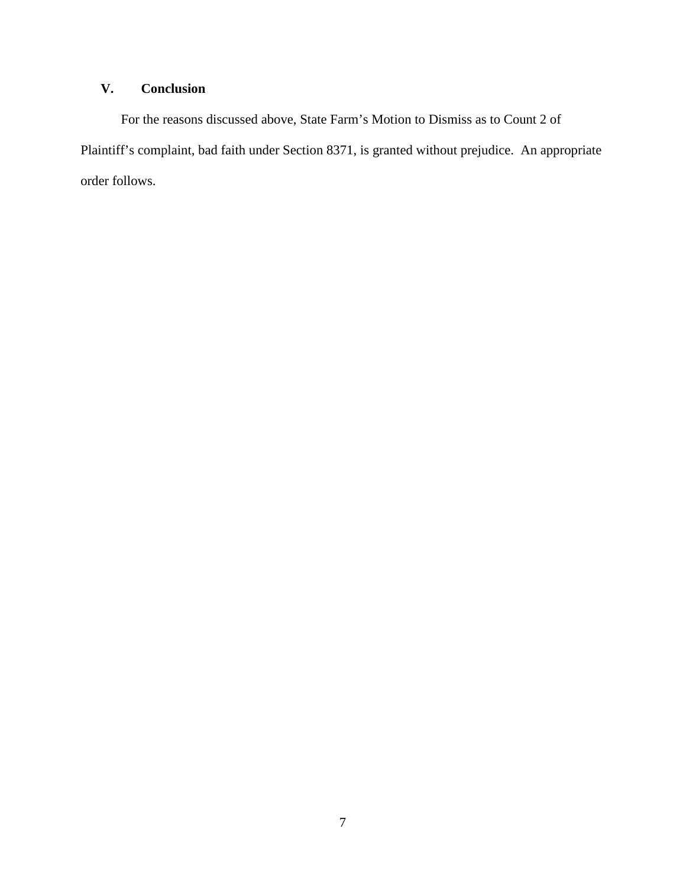# **V. Conclusion**

For the reasons discussed above, State Farm's Motion to Dismiss as to Count 2 of Plaintiff's complaint, bad faith under Section 8371, is granted without prejudice. An appropriate order follows.